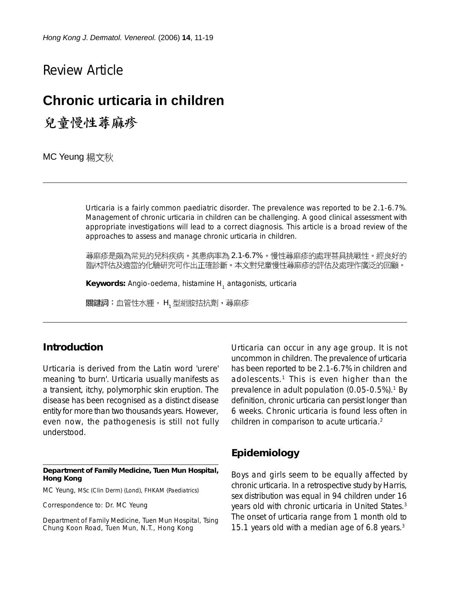Review Article

# **Chronic urticaria in children**

兒童慢性蕁麻疹

MC Yeung 楊文秋

Urticaria is a fairly common paediatric disorder. The prevalence was reported to be 2.1-6.7%. Management of chronic urticaria in children can be challenging. A good clinical assessment with appropriate investigations will lead to a correct diagnosis. This article is a broad review of the approaches to assess and manage chronic urticaria in children.

蕁麻疹是頗為常見的兒科疾病。其患病率為 2.1-6.7% 。慢性蕁麻疹的處理甚具挑戰性。經良好的 臨牀評估及適當的化驗研究可作出正確診斷。本文對兒童慢性蕁麻疹的評估及處理作廣泛的回顧。

**Keywords:** Angio-oedema, histamine H<sub>1</sub> antagonists, urticaria

關鍵詞:血管性水腫, H, 型組胺拮抗劑,蕁麻疹

#### **Introduction**

Urticaria is derived from the Latin word 'urere' meaning 'to burn'. Urticaria usually manifests as a transient, itchy, polymorphic skin eruption. The disease has been recognised as a distinct disease entity for more than two thousands years. However, even now, the pathogenesis is still not fully understood.

#### **Department of Family Medicine, Tuen Mun Hospital, Hong Kong**

MC Yeung, MSc (Clin Derm) (Lond), FHKAM (Paediatrics)

Correspondence to: Dr. MC Yeung

Department of Family Medicine, Tuen Mun Hospital, Tsing Chung Koon Road, Tuen Mun, N.T., Hong Kong

Urticaria can occur in any age group. It is not uncommon in children. The prevalence of urticaria has been reported to be 2.1-6.7% in children and adolescents.<sup>1</sup> This is even higher than the prevalence in adult population  $(0.05-0.5\%)$ .<sup>1</sup> By definition, chronic urticaria can persist longer than 6 weeks. Chronic urticaria is found less often in children in comparison to acute urticaria.<sup>2</sup>

### **Epidemiology**

Boys and girls seem to be equally affected by chronic urticaria. In a retrospective study by Harris, sex distribution was equal in 94 children under 16 years old with chronic urticaria in United States.3 The onset of urticaria range from 1 month old to 15.1 years old with a median age of 6.8 years.3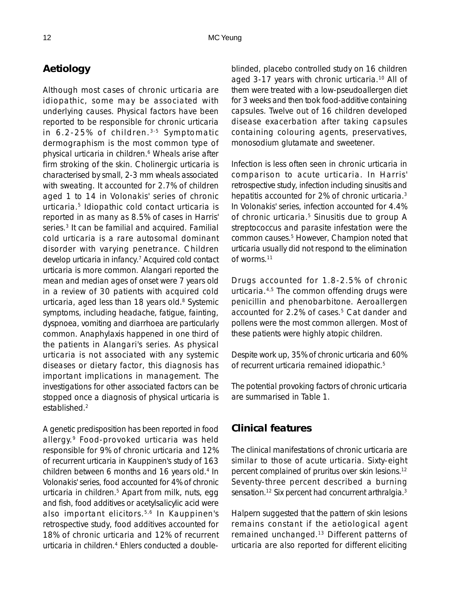# **Aetiology**

Although most cases of chronic urticaria are idiopathic, some may be associated with underlying causes. Physical factors have been reported to be responsible for chronic urticaria in 6.2-25% of children. 3-5 Symptomatic dermographism is the most common type of physical urticaria in children.<sup>6</sup> Wheals arise after firm stroking of the skin. Cholinergic urticaria is characterised by small, 2-3 mm wheals associated with sweating. It accounted for 2.7% of children aged 1 to 14 in Volonakis' series of chronic urticaria.5 Idiopathic cold contact urticaria is reported in as many as 8.5% of cases in Harris' series.<sup>3</sup> It can be familial and acquired. Familial cold urticaria is a rare autosomal dominant disorder with varying penetrance. Children develop urticaria in infancy.7 Acquired cold contact urticaria is more common. Alangari reported the mean and median ages of onset were 7 years old in a review of 30 patients with acquired cold urticaria, aged less than 18 years old. $8$  Systemic symptoms, including headache, fatigue, fainting, dyspnoea, vomiting and diarrhoea are particularly common. Anaphylaxis happened in one third of the patients in Alangari's series. As physical urticaria is not associated with any systemic diseases or dietary factor, this diagnosis has important implications in management. The investigations for other associated factors can be stopped once a diagnosis of physical urticaria is established.2

A genetic predisposition has been reported in food allergy.9 Food-provoked urticaria was held responsible for 9% of chronic urticaria and 12% of recurrent urticaria in Kauppinen's study of 163 children between 6 months and 16 years old.<sup>4</sup> In Volonakis' series, food accounted for 4% of chronic urticaria in children.<sup>5</sup> Apart from milk, nuts, egg and fish, food additives or acetylsalicylic acid were also important elicitors.5,6 In Kauppinen's retrospective study, food additives accounted for 18% of chronic urticaria and 12% of recurrent urticaria in children.4 Ehlers conducted a doubleblinded, placebo controlled study on 16 children aged 3-17 years with chronic urticaria.<sup>10</sup> All of them were treated with a low-pseudoallergen diet for 3 weeks and then took food-additive containing capsules. Twelve out of 16 children developed disease exacerbation after taking capsules containing colouring agents, preservatives, monosodium glutamate and sweetener.

Infection is less often seen in chronic urticaria in comparison to acute urticaria. In Harris' retrospective study, infection including sinusitis and hepatitis accounted for 2% of chronic urticaria.<sup>3</sup> In Volonakis' series, infection accounted for 4.4% of chronic urticaria.<sup>5</sup> Sinusitis due to group A streptococcus and parasite infestation were the common causes.5 However, Champion noted that urticaria usually did not respond to the elimination of worms.11

Drugs accounted for 1.8-2.5% of chronic urticaria.4,5 The common offending drugs were penicillin and phenobarbitone. Aeroallergen accounted for 2.2% of cases.<sup>5</sup> Cat dander and pollens were the most common allergen. Most of these patients were highly atopic children.

Despite work up, 35% of chronic urticaria and 60% of recurrent urticaria remained idiopathic.<sup>5</sup>

The potential provoking factors of chronic urticaria are summarised in Table 1.

#### **Clinical features**

The clinical manifestations of chronic urticaria are similar to those of acute urticaria. Sixty-eight percent complained of pruritus over skin lesions.12 Seventy-three percent described a burning sensation.<sup>12</sup> Six percent had concurrent arthralgia.<sup>3</sup>

Halpern suggested that the pattern of skin lesions remains constant if the aetiological agent remained unchanged.13 Different patterns of urticaria are also reported for different eliciting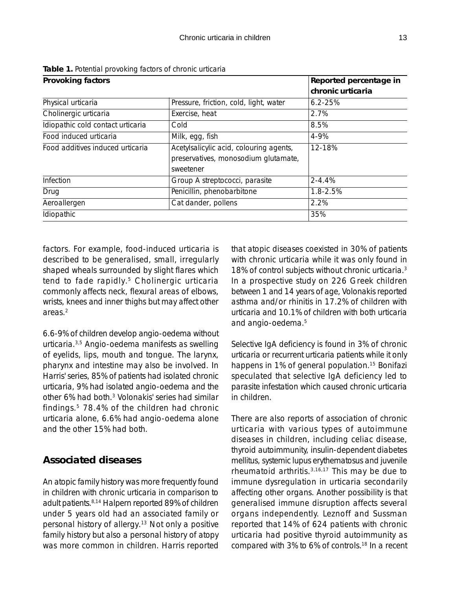| <b>Provoking factors</b>                |                   |  |
|-----------------------------------------|-------------------|--|
|                                         | chronic urticaria |  |
| Pressure, friction, cold, light, water  | $6.2 - 25%$       |  |
| Exercise, heat                          | 2.7%              |  |
| Cold                                    | 8.5%              |  |
| Milk, egg, fish                         | 4-9%              |  |
| Acetylsalicylic acid, colouring agents, | 12-18%            |  |
| preservatives, monosodium glutamate,    |                   |  |
| sweetener                               |                   |  |
| Group A streptococci, parasite          | $2 - 4.4%$        |  |
| Penicillin, phenobarbitone              | 1.8-2.5%          |  |
| Cat dander, pollens                     | 2.2%              |  |
| Idiopathic                              |                   |  |
|                                         |                   |  |

**Table 1.** Potential provoking factors of chronic urticaria

factors. For example, food-induced urticaria is described to be generalised, small, irregularly shaped wheals surrounded by slight flares which tend to fade rapidly.<sup>5</sup> Cholinergic urticaria commonly affects neck, flexural areas of elbows, wrists, knees and inner thighs but may affect other areas.2

6.6-9% of children develop angio-oedema without urticaria.3,5 Angio-oedema manifests as swelling of eyelids, lips, mouth and tongue. The larynx, pharynx and intestine may also be involved. In Harris' series, 85% of patients had isolated chronic urticaria, 9% had isolated angio-oedema and the other 6% had both.3 Volonakis' series had similar findings.5 78.4% of the children had chronic urticaria alone, 6.6% had angio-oedema alone and the other 15% had both.

# **Associated diseases**

An atopic family history was more frequently found in children with chronic urticaria in comparison to adult patients.8,14 Halpern reported 89% of children under 5 years old had an associated family or personal history of allergy.13 Not only a positive family history but also a personal history of atopy was more common in children. Harris reported that atopic diseases coexisted in 30% of patients with chronic urticaria while it was only found in 18% of control subjects without chronic urticaria.<sup>3</sup> In a prospective study on 226 Greek children between 1 and 14 years of age, Volonakis reported asthma and/or rhinitis in 17.2% of children with urticaria and 10.1% of children with both urticaria and angio-oedema.5

Selective IgA deficiency is found in 3% of chronic urticaria or recurrent urticaria patients while it only happens in 1% of general population.<sup>15</sup> Bonifazi speculated that selective IgA deficiency led to parasite infestation which caused chronic urticaria in children.

There are also reports of association of chronic urticaria with various types of autoimmune diseases in children, including celiac disease, thyroid autoimmunity, insulin-dependent diabetes mellitus, systemic lupus erythematosus and juvenile rheumatoid arthritis.3,16,17 This may be due to immune dysregulation in urticaria secondarily affecting other organs. Another possibility is that generalised immune disruption affects several organs independently. Leznoff and Sussman reported that 14% of 624 patients with chronic urticaria had positive thyroid autoimmunity as compared with 3% to 6% of controls.18 In a recent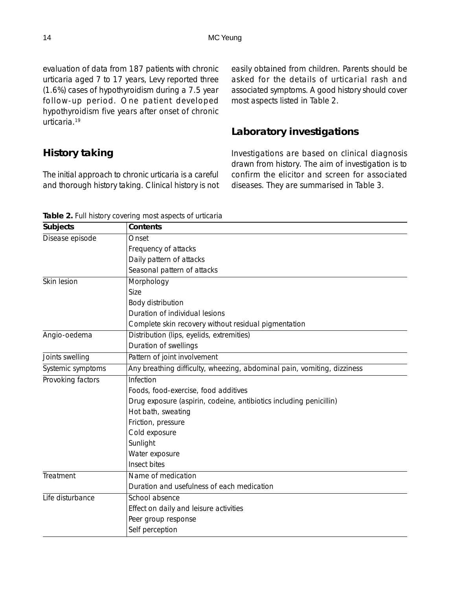evaluation of data from 187 patients with chronic urticaria aged 7 to 17 years, Levy reported three (1.6%) cases of hypothyroidism during a 7.5 year follow-up period. One patient developed hypothyroidism five years after onset of chronic urticaria.19

easily obtained from children. Parents should be asked for the details of urticarial rash and associated symptoms. A good history should cover most aspects listed in Table 2.

## **Laboratory investigations**

# **History taking**

The initial approach to chronic urticaria is a careful and thorough history taking. Clinical history is not Investigations are based on clinical diagnosis drawn from history. The aim of investigation is to confirm the elicitor and screen for associated diseases. They are summarised in Table 3.

|  |  | Table 2. Full history covering most aspects of urticaria |
|--|--|----------------------------------------------------------|
|--|--|----------------------------------------------------------|

| <b>Subjects</b>   | Contents                                                                |  |  |  |
|-------------------|-------------------------------------------------------------------------|--|--|--|
| Disease episode   | Onset                                                                   |  |  |  |
|                   | Frequency of attacks                                                    |  |  |  |
|                   | Daily pattern of attacks                                                |  |  |  |
|                   | Seasonal pattern of attacks                                             |  |  |  |
| Skin lesion       | Morphology                                                              |  |  |  |
|                   | Size                                                                    |  |  |  |
|                   | Body distribution                                                       |  |  |  |
|                   | Duration of individual lesions                                          |  |  |  |
|                   | Complete skin recovery without residual pigmentation                    |  |  |  |
| Angio-oedema      | Distribution (lips, eyelids, extremities)                               |  |  |  |
|                   | Duration of swellings                                                   |  |  |  |
| Joints swelling   | Pattern of joint involvement                                            |  |  |  |
| Systemic symptoms | Any breathing difficulty, wheezing, abdominal pain, vomiting, dizziness |  |  |  |
| Provoking factors | Infection                                                               |  |  |  |
|                   | Foods, food-exercise, food additives                                    |  |  |  |
|                   | Drug exposure (aspirin, codeine, antibiotics including penicillin)      |  |  |  |
|                   | Hot bath, sweating                                                      |  |  |  |
|                   | Friction, pressure                                                      |  |  |  |
|                   | Cold exposure                                                           |  |  |  |
|                   | Sunlight                                                                |  |  |  |
|                   | Water exposure                                                          |  |  |  |
|                   | Insect bites                                                            |  |  |  |
| Treatment         | Name of medication                                                      |  |  |  |
|                   | Duration and usefulness of each medication                              |  |  |  |
| Life disturbance  | School absence                                                          |  |  |  |
|                   | Effect on daily and leisure activities                                  |  |  |  |
|                   | Peer group response                                                     |  |  |  |
|                   | Self perception                                                         |  |  |  |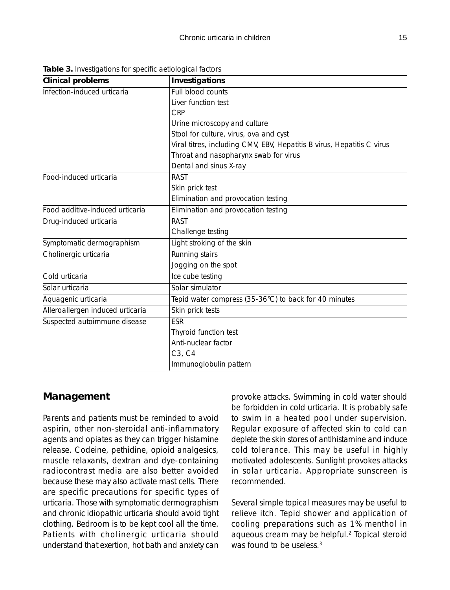| <b>Clinical problems</b>         | Investigations                                                         |  |  |
|----------------------------------|------------------------------------------------------------------------|--|--|
| Infection-induced urticaria      | Full blood counts                                                      |  |  |
|                                  | Liver function test                                                    |  |  |
|                                  | <b>CRP</b>                                                             |  |  |
|                                  | Urine microscopy and culture                                           |  |  |
|                                  | Stool for culture, virus, ova and cyst                                 |  |  |
|                                  | Viral titres, including CMV, EBV, Hepatitis B virus, Hepatitis C virus |  |  |
|                                  | Throat and nasopharynx swab for virus                                  |  |  |
|                                  | Dental and sinus X-ray                                                 |  |  |
| Food-induced urticaria           | <b>RAST</b>                                                            |  |  |
|                                  | Skin prick test                                                        |  |  |
|                                  | Elimination and provocation testing                                    |  |  |
| Food additive-induced urticaria  | Elimination and provocation testing                                    |  |  |
| Drug-induced urticaria           | <b>RAST</b>                                                            |  |  |
|                                  | Challenge testing                                                      |  |  |
| Symptomatic dermographism        | Light stroking of the skin                                             |  |  |
| Cholinergic urticaria            | Running stairs                                                         |  |  |
|                                  | Jogging on the spot                                                    |  |  |
| Cold urticaria                   | Ice cube testing                                                       |  |  |
| Solar urticaria                  | Solar simulator                                                        |  |  |
| Aquagenic urticaria              | Tepid water compress (35-36°C) to back for 40 minutes                  |  |  |
| Alleroallergen induced urticaria | Skin prick tests                                                       |  |  |
| Suspected autoimmune disease     | <b>ESR</b>                                                             |  |  |
|                                  | Thyroid function test                                                  |  |  |
|                                  | Anti-nuclear factor                                                    |  |  |
|                                  | C3, C4                                                                 |  |  |
|                                  | Immunoglobulin pattern                                                 |  |  |

**Table 3.** Investigations for specific aetiological factors

#### **Management**

Parents and patients must be reminded to avoid aspirin, other non-steroidal anti-inflammatory agents and opiates as they can trigger histamine release. Codeine, pethidine, opioid analgesics, muscle relaxants, dextran and dye-containing radiocontrast media are also better avoided because these may also activate mast cells. There are specific precautions for specific types of urticaria. Those with symptomatic dermographism and chronic idiopathic urticaria should avoid tight clothing. Bedroom is to be kept cool all the time. Patients with cholinergic urticaria should understand that exertion, hot bath and anxiety can

provoke attacks. Swimming in cold water should be forbidden in cold urticaria. It is probably safe to swim in a heated pool under supervision. Regular exposure of affected skin to cold can deplete the skin stores of antihistamine and induce cold tolerance. This may be useful in highly motivated adolescents. Sunlight provokes attacks in solar urticaria. Appropriate sunscreen is recommended.

Several simple topical measures may be useful to relieve itch. Tepid shower and application of cooling preparations such as 1% menthol in aqueous cream may be helpful.2 Topical steroid was found to be useless.<sup>3</sup>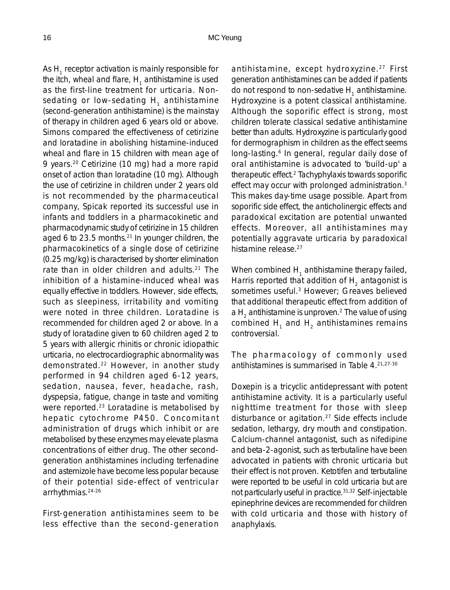As  $H_1$  receptor activation is mainly responsible for the itch, wheal and flare,  $H<sub>1</sub>$  antihistamine is used as the first-line treatment for urticaria. Nonsedating or low-sedating H<sub>1</sub> antihistamine (second-generation antihistamine) is the mainstay of therapy in children aged 6 years old or above. Simons compared the effectiveness of cetirizine and loratadine in abolishing histamine-induced wheal and flare in 15 children with mean age of 9 years.20 Cetirizine (10 mg) had a more rapid onset of action than loratadine (10 mg). Although the use of cetirizine in children under 2 years old is not recommended by the pharmaceutical company, Spicak reported its successful use in infants and toddlers in a pharmacokinetic and pharmacodynamic study of cetirizine in 15 children aged 6 to 23.5 months.<sup>21</sup> In younger children, the pharmacokinetics of a single dose of cetirizine (0.25 mg/kg) is characterised by shorter elimination rate than in older children and adults.<sup>21</sup> The inhibition of a histamine-induced wheal was equally effective in toddlers. However, side effects, such as sleepiness, irritability and vomiting were noted in three children. Loratadine is recommended for children aged 2 or above. In a study of loratadine given to 60 children aged 2 to 5 years with allergic rhinitis or chronic idiopathic urticaria, no electrocardiographic abnormality was demonstrated.22 However, in another study performed in 94 children aged 6-12 years, sedation, nausea, fever, headache, rash, dyspepsia, fatigue, change in taste and vomiting were reported.23 Loratadine is metabolised by hepatic cytochrome P450. Concomitant administration of drugs which inhibit or are metabolised by these enzymes may elevate plasma concentrations of either drug. The other secondgeneration antihistamines including terfenadine and astemizole have become less popular because of their potential side-effect of ventricular arrhythmias.24-26

First-generation antihistamines seem to be less effective than the second-generation antihistamine, except hydroxyzine.<sup>27</sup> First generation antihistamines can be added if patients do not respond to non-sedative  $H_1$  antihistamine. Hydroxyzine is a potent classical antihistamine. Although the soporific effect is strong, most children tolerate classical sedative antihistamine better than adults. Hydroxyzine is particularly good for dermographism in children as the effect seems long-lasting.<sup>6</sup> In general, regular daily dose of oral antihistamine is advocated to 'build-up' a therapeutic effect.2 Tachyphylaxis towards soporific effect may occur with prolonged administration.3 This makes day-time usage possible. Apart from soporific side effect, the anticholinergic effects and paradoxical excitation are potential unwanted effects. Moreover, all antihistamines may potentially aggravate urticaria by paradoxical histamine release.<sup>27</sup>

When combined  $H_1$  antihistamine therapy failed, Harris reported that addition of  $H<sub>2</sub>$  antagonist is sometimes useful.<sup>3</sup> However; Greaves believed that additional therapeutic effect from addition of a  $H<sub>2</sub>$  antihistamine is unproven.<sup>2</sup> The value of using combined  $H_1$  and  $H_2$  antihistamines remains controversial.

The pharmacology of commonly used antihistamines is summarised in Table 4.21,27-30

Doxepin is a tricyclic antidepressant with potent antihistamine activity. It is a particularly useful nighttime treatment for those with sleep disturbance or agitation.27 Side effects include sedation, lethargy, dry mouth and constipation. Calcium-channel antagonist, such as nifedipine and beta-2-agonist, such as terbutaline have been advocated in patients with chronic urticaria but their effect is not proven. Ketotifen and terbutaline were reported to be useful in cold urticaria but are not particularly useful in practice.31,32 Self-injectable epinephrine devices are recommended for children with cold urticaria and those with history of anaphylaxis.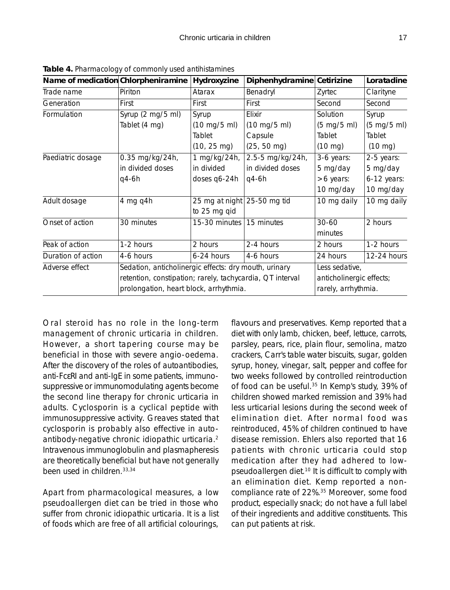| Name of medication Chlorpheniramine |                                                           | Hydroxyzine                    | Diphenhydramine                | Cetirizine                    | Loratadine                    |
|-------------------------------------|-----------------------------------------------------------|--------------------------------|--------------------------------|-------------------------------|-------------------------------|
| Trade name                          | Piriton                                                   | Atarax                         | Benadryl                       | Zyrtec                        | Clarityne                     |
| Generation                          | First                                                     | First                          | First                          | Second                        | Second                        |
| Formulation                         | Syrup (2 mg/5 ml)                                         | Syrup                          | Elixir                         | Solution                      | Syrup                         |
|                                     | Tablet (4 mg)                                             | $(10 \text{ mg}/5 \text{ ml})$ | $(10 \text{ mg}/5 \text{ ml})$ | $(5 \text{ mg}/5 \text{ ml})$ | $(5 \text{ mg}/5 \text{ ml})$ |
|                                     |                                                           | Tablet                         | Capsule                        | Tablet                        | Tablet                        |
|                                     |                                                           | $(10, 25 \text{ mg})$          | $(25, 50 \text{ mg})$          | $(10 \text{ mg})$             | $(10 \text{ mg})$             |
| Paediatric dosage                   | 0.35 mg/kg/24h,                                           | 1 mg/kg/24h,                   | 2.5-5 mg/kg/24h,               | 3-6 years:                    | 2-5 years:                    |
|                                     | in divided doses                                          | in divided                     | in divided doses               | 5 mg/day                      | 5 mg/day                      |
|                                     | q4-6h                                                     | doses q6-24h                   | $q4-6h$                        | >6 years:                     | $6-12$ years:                 |
|                                     |                                                           |                                |                                | 10 mg/day                     | 10 mg/day                     |
| Adult dosage                        | 4 mg q4h                                                  | 25 mg at night 25-50 mg tid    |                                | 10 mg daily                   | 10 mg daily                   |
|                                     |                                                           | to 25 mg qid                   |                                |                               |                               |
| Onset of action                     | 30 minutes                                                | 15-30 minutes                  | 15 minutes                     | $30 - 60$                     | 2 hours                       |
|                                     |                                                           |                                |                                | minutes                       |                               |
| Peak of action                      | 1-2 hours                                                 | 2 hours                        | 2-4 hours                      | 2 hours                       | 1-2 hours                     |
| Duration of action                  | 4-6 hours                                                 | 6-24 hours                     | 4-6 hours                      | 24 hours                      | 12-24 hours                   |
| Adverse effect                      | Sedation, anticholinergic effects: dry mouth, urinary     |                                | Less sedative,                 |                               |                               |
|                                     | retention, constipation; rarely, tachycardia, QT interval |                                |                                | anticholinergic effects;      |                               |
|                                     | prolongation, heart block, arrhythmia.                    |                                |                                | rarely, arrhythmia.           |                               |

**Table 4.** Pharmacology of commonly used antihistamines

Oral steroid has no role in the long-term management of chronic urticaria in children. However, a short tapering course may be beneficial in those with severe angio-oedema. After the discovery of the roles of autoantibodies, anti-FcεRI and anti-IgE in some patients, immunosuppressive or immunomodulating agents become the second line therapy for chronic urticaria in adults. Cyclosporin is a cyclical peptide with immunosuppressive activity. Greaves stated that cyclosporin is probably also effective in autoantibody-negative chronic idiopathic urticaria.2 Intravenous immunoglobulin and plasmapheresis are theoretically beneficial but have not generally been used in children.33,34

Apart from pharmacological measures, a low pseudoallergen diet can be tried in those who suffer from chronic idiopathic urticaria. It is a list of foods which are free of all artificial colourings,

flavours and preservatives. Kemp reported that a diet with only lamb, chicken, beef, lettuce, carrots, parsley, pears, rice, plain flour, semolina, matzo crackers, Carr's table water biscuits, sugar, golden syrup, honey, vinegar, salt, pepper and coffee for two weeks followed by controlled reintroduction of food can be useful.<sup>35</sup> In Kemp's study, 39% of children showed marked remission and 39% had less urticarial lesions during the second week of elimination diet. After normal food was reintroduced, 45% of children continued to have disease remission. Ehlers also reported that 16 patients with chronic urticaria could stop medication after they had adhered to lowpseudoallergen diet.10 It is difficult to comply with an elimination diet. Kemp reported a noncompliance rate of 22%.35 Moreover, some food product, especially snack; do not have a full label of their ingredients and additive constituents. This can put patients at risk.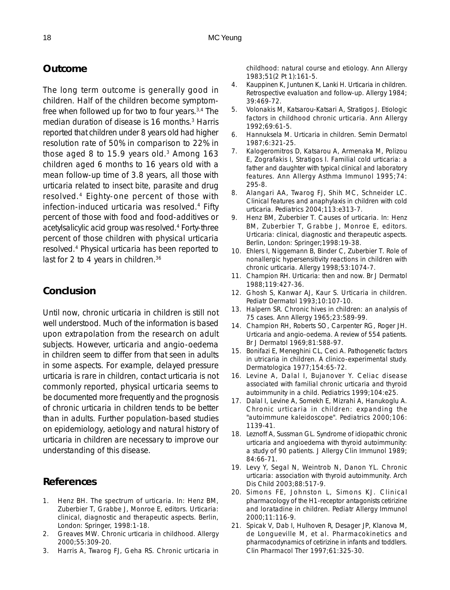### **Outcome**

The long term outcome is generally good in children. Half of the children become symptomfree when followed up for two to four years. $3,4$  The median duration of disease is 16 months.3 Harris reported that children under 8 years old had higher resolution rate of 50% in comparison to 22% in those aged 8 to 15.9 years old. $3$  Among 163 children aged 6 months to 16 years old with a mean follow-up time of 3.8 years, all those with urticaria related to insect bite, parasite and drug resolved.4 Eighty-one percent of those with infection-induced urticaria was resolved.4 Fifty percent of those with food and food-additives or acetylsalicylic acid group was resolved.4 Forty-three percent of those children with physical urticaria resolved.4 Physical urticaria has been reported to last for 2 to 4 years in children.<sup>36</sup>

### **Conclusion**

Until now, chronic urticaria in children is still not well understood. Much of the information is based upon extrapolation from the research on adult subjects. However, urticaria and angio-oedema in children seem to differ from that seen in adults in some aspects. For example, delayed pressure urticaria is rare in children, contact urticaria is not commonly reported, physical urticaria seems to be documented more frequently and the prognosis of chronic urticaria in children tends to be better than in adults. Further population-based studies on epidemiology, aetiology and natural history of urticaria in children are necessary to improve our understanding of this disease.

#### **References**

- 1. Henz BH. The spectrum of urticaria. In: Henz BM, Zuberbier T, Grabbe J, Monroe E, editors. Urticaria: clinical, diagnostic and therapeutic aspects. Berlin, London: Springer, 1998:1-18.
- 2. Greaves MW. Chronic urticaria in childhood. Allergy 2000;55:309-20.
- 3. Harris A, Twarog FJ, Geha RS. Chronic urticaria in

childhood: natural course and etiology. Ann Allergy 1983;51(2 Pt 1):161-5.

- 4. Kauppinen K, Juntunen K, Lanki H. Urticaria in children. Retrospective evaluation and follow-up. Allergy 1984; 39:469-72.
- 5. Volonakis M, Katsarou-Katsari A, Stratigos J. Etiologic factors in childhood chronic urticaria. Ann Allergy 1992;69:61-5.
- 6. Hannuksela M. Urticaria in children. Semin Dermatol 1987;6:321-25.
- 7. Kalogeromitros D, Katsarou A, Armenaka M, Polizou E, Zografakis I, Stratigos I. Familial cold urticaria: a father and daughter with typical clinical and laboratory features. Ann Allergy Asthma Immunol 1995;74: 295-8.
- 8. Alangari AA, Twarog FJ, Shih MC, Schneider LC. Clinical features and anaphylaxis in children with cold urticaria. Pediatrics 2004;113:e313-7.
- 9. Henz BM, Zuberbier T. Causes of urticaria. In: Henz BM, Zuberbier T, Grabbe J, Monroe E, editors. Urticaria: clinical, diagnostic and therapeutic aspects. Berlin, London: Springer;1998:19-38.
- 10. Ehlers I, Niggemann B, Binder C, Zuberbier T. Role of nonallergic hypersensitivity reactions in children with chronic urticaria. Allergy 1998;53:1074-7.
- 11. Champion RH. Urticaria: then and now. Br J Dermatol 1988;119:427-36.
- 12. Ghosh S, Kanwar AJ, Kaur S. Urticaria in children. Pediatr Dermatol 1993;10:107-10.
- 13. Halpern SR. Chronic hives in children: an analysis of 75 cases. Ann Allergy 1965;23:589-99.
- 14. Champion RH, Roberts SO, Carpenter RG, Roger JH. Urticaria and angio-oedema. A review of 554 patients. Br J Dermatol 1969;81:588-97.
- 15. Bonifazi E, Meneghini CL, Ceci A. Pathogenetic factors in utricaria in children. A clinico-experimental study. Dermatologica 1977;154:65-72.
- 16. Levine A, Dalal I, Bujanover Y. Celiac disease associated with familial chronic urticaria and thyroid autoimmunity in a child. Pediatrics 1999;104:e25.
- 17. Dalal I, Levine A, Somekh E, Mizrahi A, Hanukoglu A. Chronic urticaria in children: expanding the "autoimmune kaleidoscope". Pediatrics 2000;106: 1139-41.
- 18. Leznoff A, Sussman GL. Syndrome of idiopathic chronic urticaria and angioedema with thyroid autoimmunity: a study of 90 patients. J Allergy Clin Immunol 1989; 84:66-71.
- 19. Levy Y, Segal N, Weintrob N, Danon YL. Chronic urticaria: association with thyroid autoimmunity. Arch Dis Child 2003;88:517-9.
- 20. Simons FE, Johnston L, Simons KJ. Clinical pharmacology of the H1-receptor antagonists cetirizine and loratadine in children. Pediatr Allergy Immunol 2000;11:116-9.
- 21. Spicak V, Dab I, Hulhoven R, Desager JP, Klanova M, de Longueville M, et al. Pharmacokinetics and pharmacodynamics of cetirizine in infants and toddlers. Clin Pharmacol Ther 1997;61:325-30.